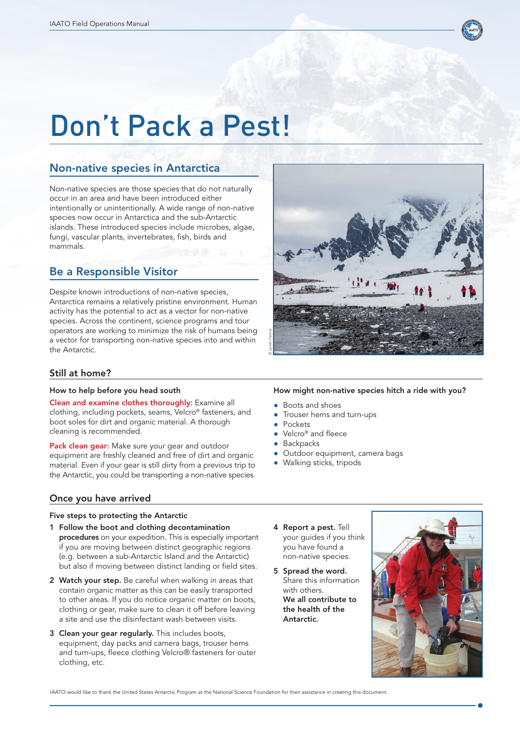

# Don't Pack a Pest!

# Non-native species in Antarctica

Non-native species are those species that do not naturally occur in an area and have been introduced either intentionally or unintentionally. A wide range of non-native species now occur in Antarctica and the sub-Antarctic islands. These introduced species include microbes, algae, fungi, vascular plants, invertebrates, fish, birds and mammals.

# Be a Responsible Visitor

Despite known introductions of non-native species, Antarctica remains a relatively pristine environment. Human activity has the potential to act as a vector for non-native species. Across the continent, science programs and tour operators are working to minimize the risk of humans being a vector for transporting non-native species into and within the Antarctic.

## Still at home?

#### How to help before you head south

Clean and examine clothes thoroughly: Examine all clothing, including pockets, seams, Velcro® fasteners, and boot soles for dirt and organic material. A thorough cleaning is recommended.

Pack clean gear: Make sure your gear and outdoor equipment are freshly cleaned and free of dirt and organic material. Even if your gear is still dirty from a previous trip to the Antarctic, you could be transporting a non-native species.

### Once you have arrived

#### Five steps to protecting the Antarctic

- 1 Follow the boot and clothing decontamination procedures on your expedition. This is especially important if you are moving between distinct geographic regions (e.g. between a sub-Antarctic Island and the Antarctic) but also if moving between distinct landing or field sites. Constraine to the photon in the matter to the matter thank the human stems are of the matterial at the matter of the photon and example the second and the photon and the photon and the photon species Science Colombing, inc
- 2 Watch your step. Be careful when walking in areas that contain organic matter as this can be easily transported to other areas. If you do notice organic matter on boots, clothing or gear, make sure to clean it off before leaving a site and use the disinfectant wash between visits.
- 3 Clean your gear regularly. This includes boots, equipment, day packs and camera bags, trouser hems and turn-ups, fleece clothing Velcro® fasteners for outer clothing, etc.

#### How might non-native species hitch a ride with you?

- Boots and shoes
- Trouser hems and turn-ups
- **Pockets**
- Velcro® and fleece
- **Backpacks**
- Outdoor equipment, camera bags
- Walking sticks, tripods
- 4 Report a pest. Tell your guides if you think you have found a non-native species.
- 5 Spread the word. Share this information with others. We all contribute to the health of the Antarctic.